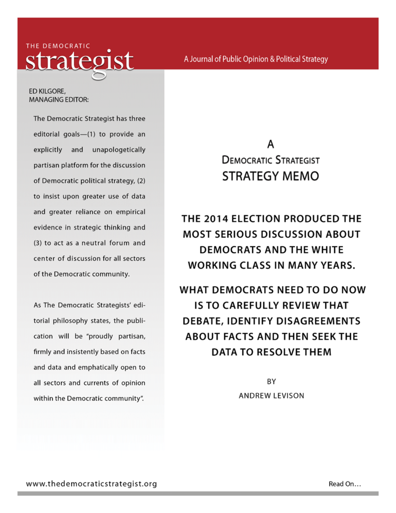THE DEMOCRATIC eoist

ED KILGORE. **MANAGING EDITOR:** 

The Democratic Strategist has three editorial goals-(1) to provide an explicitly and unapologetically partisan platform for the discussion of Democratic political strategy, (2) to insist upon greater use of data and greater reliance on empirical evidence in strategic thinking and (3) to act as a neutral forum and center of discussion for all sectors of the Democratic community.

As The Democratic Strategists' editorial philosophy states, the publication will be "proudly partisan, firmly and insistently based on facts and data and emphatically open to all sectors and currents of opinion within the Democratic community".

# А **DEMOCRATIC STRATEGIST STRATEGY MEMO**

THE 2014 ELECTION PRODUCED THE **MOST SERIOUS DISCUSSION ABOUT DEMOCRATS AND THE WHITE WORKING CLASS IN MANY YEARS.** 

WHAT DEMOCRATS NEED TO DO NOW IS TO CAREFULLY REVIEW THAT **DEBATE, IDENTIFY DISAGREEMENTS ABOUT FACTS AND THEN SEEK THE DATA TO RESOLVE THEM** 

> BY **ANDREW LEVISON**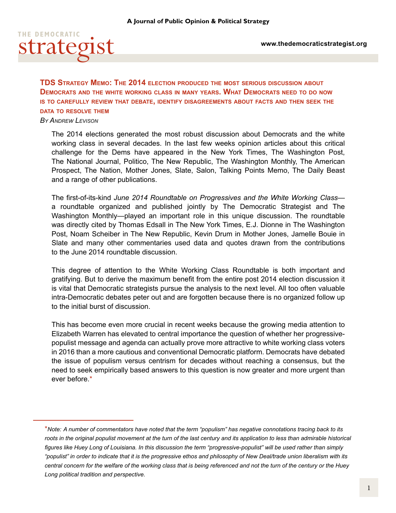

**TDS Strategy Memo: The 2014 election produced the most serious discussion about Democrats and the white working class in many years. What Democrats need to do now is to carefully review that debate, identify disagreements about facts and then seek the data to resolve them**

#### *By Andrew Levison*

The 2014 elections generated the most robust discussion about Democrats and the white working class in several decades. In the last few weeks opinion articles about this critical challenge for the Dems have appeared in the New York Times, The Washington Post, The National Journal, Politico, The New Republic, The Washington Monthly, The American Prospect, The Nation, Mother Jones, Slate, Salon, Talking Points Memo, The Daily Beast and a range of other publications.

The first-of-its-kind *June 2014 Roundtable on Progressives and the White Working Class* a roundtable organized and published jointly by The Democratic Strategist and The Washington Monthly—played an important role in this unique discussion. The roundtable was directly cited by Thomas Edsall in The New York Times, E.J. Dionne in The Washington Post, Noam Scheiber in The New Republic, Kevin Drum in Mother Jones, Jamelle Bouie in Slate and many other commentaries used data and quotes drawn from the contributions to the June 2014 roundtable discussion.

This degree of attention to the White Working Class Roundtable is both important and gratifying. But to derive the maximum benefit from the entire post 2014 election discussion it is vital that Democratic strategists pursue the analysis to the next level. All too often valuable intra-Democratic debates peter out and are forgotten because there is no organized follow up to the initial burst of discussion.

This has become even more crucial in recent weeks because the growing media attention to Elizabeth Warren has elevated to central importance the question of whether her progressivepopulist message and agenda can actually prove more attractive to white working class voters in 2016 than a more cautious and conventional Democratic platform. Democrats have debated the issue of populism versus centrism for decades without reaching a consensus, but the need to seek empirically based answers to this question is now greater and more urgent than ever before.<sup>\*</sup>

<sup>\*</sup>*Note: A number of commentators have noted that the term "populism" has negative connotations tracing back to its roots in the original populist movement at the turn of the last century and its application to less than admirable historical figures like Huey Long of Louisiana. In this discussion the term "progressive-populist" will be used rather than simply "populist" in order to indicate that it is the progressive ethos and philosophy of New Deal/trade union liberalism with its central concern for the welfare of the working class that is being referenced and not the turn of the century or the Huey Long political tradition and perspective.*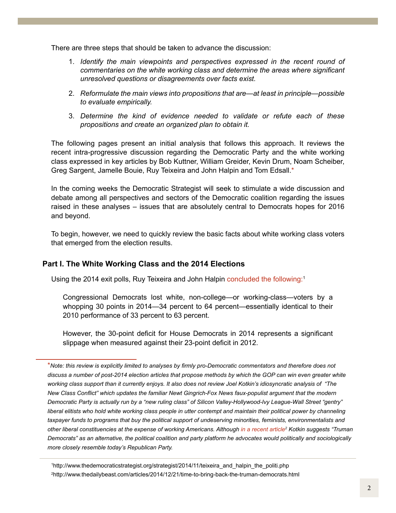There are three steps that should be taken to advance the discussion:

- 1. *Identify the main viewpoints and perspectives expressed in the recent round of commentaries on the white working class and determine the areas where significant unresolved questions or disagreements over facts exist.*
- 2. *Reformulate the main views into propositions that are*—*at least in principle*—*possible to evaluate empirically.*
- 3. *Determine the kind of evidence needed to validate or refute each of these propositions and create an organized plan to obtain it.*

The following pages present an initial analysis that follows this approach. It reviews the recent intra-progressive discussion regarding the Democratic Party and the white working class expressed in key articles by Bob Kuttner, William Greider, Kevin Drum, Noam Scheiber, Greg Sargent, Jamelle Bouie, Ruy Teixeira and John Halpin and Tom Edsall.\*

In the coming weeks the Democratic Strategist will seek to stimulate a wide discussion and debate among all perspectives and sectors of the Democratic coalition regarding the issues raised in these analyses – issues that are absolutely central to Democrats hopes for 2016 and beyond.

To begin, however, we need to quickly review the basic facts about white working class voters that emerged from the election results.

## **Part I. The White Working Class and the 2014 Elections**

Using the 2014 exit polls, Ruy Teixeira and John Halpin concluded the following:<sup>1</sup>

Congressional Democrats lost white, non-college—or working-class—voters by a whopping 30 points in 2014—34 percent to 64 percent—essentially identical to their 2010 performance of 33 percent to 63 percent.

However, the 30-point deficit for House Democrats in 2014 represents a significant slippage when measured against their 23-point deficit in 2012.

<sup>\*</sup>*Note: this review is explicitly limited to analyses by firmly pro-Democratic commentators and therefore does not discuss a number of post-2014 election articles that propose methods by which the GOP can win even greater white working class support than it currently enjoys. It also does not review Joel Kotkin's idiosyncratic analysis of "The New Class Conflict" which updates the familiar Newt Gingrich-Fox News faux-populist argument that the modern Democratic Party is actually run by a "new ruling class" of Silicon Valley-Hollywood-Ivy League-Wall Street "gentry" liberal elitists who hold white working class people in utter contempt and maintain their political power by channeling taxpayer funds to programs that buy the political support of undeserving minorities, feminists, environmentalists and other liberal constituencies at the expense of working Americans. Although [in a recent article2](http://www.thedailybeast.com/articles/2014/12/21/time-to-bring-back-the-truman-democrats.html) Kotkin suggests "Truman Democrats" as an alternative, the political coalition and party platform he advocates would politically and sociologically more closely resemble today's Republican Party.*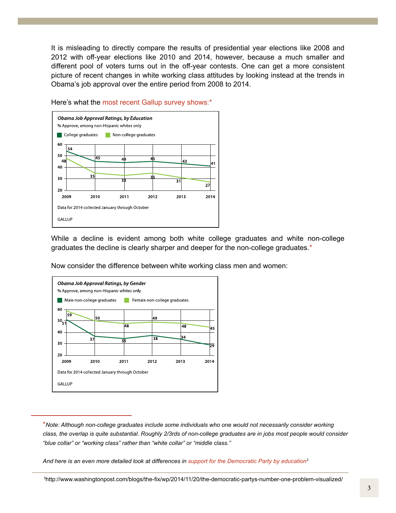It is misleading to directly compare the results of presidential year elections like 2008 and 2012 with off-year elections like 2010 and 2014, however, because a much smaller and different pool of voters turns out in the off-year contests. One can get a more consistent picture of recent changes in white working class attitudes by looking instead at the trends in Obama's job approval over the entire period from 2008 to 2014.



Here's what the most recent Gallup survey shows:\*

While a decline is evident among both white college graduates and white non-college graduates the decline is clearly sharper and deeper for the non-college graduates.\*

Now consider the difference between white working class men and women:



\**Note: Although non-college graduates include some individuals who one would not necessarily consider working class, the overlap is quite substantial. Roughly 2/3rds of non-college graduates are in jobs most people would consider "blue collar" or "working class" rather than "white collar" or "middle class."*

*And here is an even more detailed look at differences in [support for the Democratic Party by education3](http://www.washingtonpost.com/blogs/the-fix/wp/2014/11/20/the-democratic-partys-number-one-problem-visualized/)*

3 http://www.washingtonpost.com/blogs/the-fix/wp/2014/11/20/the-democratic-partys-number-one-problem-visualized/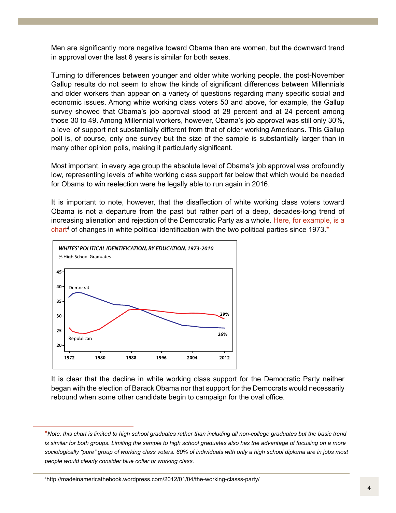Men are significantly more negative toward Obama than are women, but the downward trend in approval over the last 6 years is similar for both sexes.

Turning to differences between younger and older white working people, the post-November Gallup results do not seem to show the kinds of significant differences between Millennials and older workers than appear on a variety of questions regarding many specific social and economic issues. Among white working class voters 50 and above, for example, the Gallup survey showed that Obama's job approval stood at 28 percent and at 24 percent among those 30 to 49. Among Millennial workers, however, Obama's job approval was still only 30%, a level of support not substantially different from that of older working Americans. This Gallup poll is, of course, only one survey but the size of the sample is substantially larger than in many other opinion polls, making it particularly significant.

Most important, in every age group the absolute level of Obama's job approval was profoundly low, representing levels of white working class support far below that which would be needed for Obama to win reelection were he legally able to run again in 2016.

It is important to note, however, that the disaffection of white working class voters toward Obama is not a departure from the past but rather part of a deep, decades-long trend of increasing alienation and rejection of the Democratic Party as a whole. [Here, for example, is a](http://madeinamericathebook.wordpress.com/2012/01/04/the-working-classs-party/)  chart<sup>4</sup> of changes in white political identification with the two political parties since 1973.\*



It is clear that the decline in white working class support for the Democratic Party neither began with the election of Barack Obama nor that support for the Democrats would necessarily rebound when some other candidate begin to campaign for the oval office.

<sup>\*</sup>*Note: this chart is limited to high school graduates rather than including all non-college graduates but the basic trend*  is similar for both groups. Limiting the sample to high school graduates also has the advantage of focusing on a more *sociologically "pure" group of working class voters. 80% of individuals with only a high school diploma are in jobs most people would clearly consider blue collar or working class.* 

<sup>4</sup> http://madeinamericathebook.wordpress.com/2012/01/04/the-working-classs-party/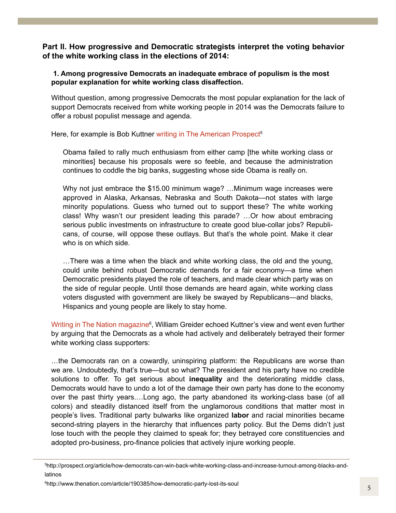**Part II. How progressive and Democratic strategists interpret the voting behavior of the white working class in the elections of 2014:**

 **1. Among progressive Democrats an inadequate embrace of populism is the most popular explanation for white working class disaffection.**

Without question, among progressive Democrats the most popular explanation for the lack of support Democrats received from white working people in 2014 was the Democrats failure to offer a robust populist message and agenda.

Here, for example is Bob Kuttner writing in The American Prospect<sup>5</sup>

Obama failed to rally much enthusiasm from either camp [the white working class or minorities] because his proposals were so feeble, and because the administration continues to coddle the big banks, suggesting whose side Obama is really on.

Why not just embrace the \$15.00 minimum wage? …Minimum wage increases were approved in Alaska, Arkansas, Nebraska and South Dakota—not states with large minority populations. Guess who turned out to support these? The white working class! Why wasn't our president leading this parade? …Or how about embracing serious public investments on infrastructure to create good blue-collar jobs? Republicans, of course, will oppose these outlays. But that's the whole point. Make it clear who is on which side.

…There was a time when the black and white working class, the old and the young, could unite behind robust Democratic demands for a fair economy—a time when Democratic presidents played the role of teachers, and made clear which party was on the side of regular people. Until those demands are heard again, white working class voters disgusted with government are likely be swayed by Republicans—and blacks, Hispanics and young people are likely to stay home.

Writing in The Nation magazine<sup>6</sup>, William Greider echoed Kuttner's view and went even further by arguing that the Democrats as a whole had actively and deliberately betrayed their former white working class supporters:

…the Democrats ran on a cowardly, uninspiring platform: the Republicans are worse than we are. Undoubtedly, that's true—but so what? The president and his party have no credible solutions to offer. To get serious about **inequality** and the deteriorating middle class, Democrats would have to undo a lot of the damage their own party has done to the economy over the past thirty years.…Long ago, the party abandoned its working-class base (of all colors) and steadily distanced itself from the unglamorous conditions that matter most in people's lives. Traditional party bulwarks like organized **labor** and racial minorities became second-string players in the hierarchy that influences party policy. But the Dems didn't just lose touch with the people they claimed to speak for; they betrayed core constituencies and adopted pro-business, pro-finance policies that actively injure working people.

<sup>5</sup> http://prospect.org/article/how-democrats-can-win-back-white-working-class-and-increase-turnout-among-blacks-andlatinos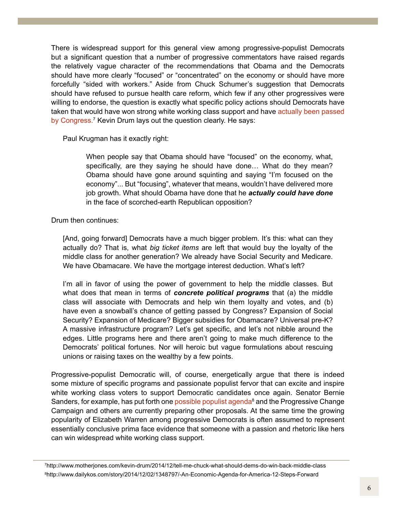There is widespread support for this general view among progressive-populist Democrats but a significant question that a number of progressive commentators have raised regards the relatively vague character of the recommendations that Obama and the Democrats should have more clearly "focused" or "concentrated" on the economy or should have more forcefully "sided with workers." Aside from Chuck Schumer's suggestion that Democrats should have refused to pursue health care reform, which few if any other progressives were willing to endorse, the question is exactly what specific policy actions should Democrats have taken that would have won strong white working class support and have actually been passed [by Congress.](http://www.motherjones.com/kevin-drum/2014/12/tell-me-chuck-what-should-dems-do-win-back-middle-class)<sup>7</sup> Kevin Drum lays out the question clearly. He says:

Paul Krugman has it exactly right:

When people say that Obama should have "focused" on the economy, what, specifically, are they saying he should have done… What do they mean? Obama should have gone around squinting and saying "I'm focused on the economy"... But "focusing", whatever that means, wouldn't have delivered more job growth. What should Obama have done that he *actually could have done* in the face of scorched-earth Republican opposition?

Drum then continues:

[And, going forward] Democrats have a much bigger problem. It's this: what can they actually do? That is, what *big ticket items* are left that would buy the loyalty of the middle class for another generation? We already have Social Security and Medicare. We have Obamacare. We have the mortgage interest deduction. What's left?

I'm all in favor of using the power of government to help the middle classes. But what does that mean in terms of *concrete political programs* that (a) the middle class will associate with Democrats and help win them loyalty and votes, and (b) have even a snowball's chance of getting passed by Congress? Expansion of Social Security? Expansion of Medicare? Bigger subsidies for Obamacare? Universal pre-K? A massive infrastructure program? Let's get specific, and let's not nibble around the edges. Little programs here and there aren't going to make much difference to the Democrats' political fortunes. Nor will heroic but vague formulations about rescuing unions or raising taxes on the wealthy by a few points.

Progressive-populist Democratic will, of course, energetically argue that there is indeed some mixture of specific programs and passionate populist fervor that can excite and inspire white working class voters to support Democratic candidates once again. Senator Bernie Sanders, for example, has put forth one possible populist agenda<sup>8</sup> and the Progressive Change Campaign and others are currently preparing other proposals. At the same time the growing popularity of Elizabeth Warren among progressive Democrats is often assumed to represent essentially conclusive prima face evidence that someone with a passion and rhetoric like hers can win widespread white working class support.

7 http://www.motherjones.com/kevin-drum/2014/12/tell-me-chuck-what-should-dems-do-win-back-middle-class 8 http://www.dailykos.com/story/2014/12/02/1348797/-An-Economic-Agenda-for-America-12-Steps-Forward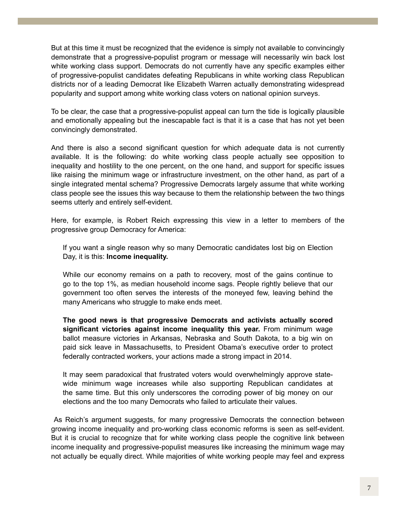But at this time it must be recognized that the evidence is simply not available to convincingly demonstrate that a progressive-populist program or message will necessarily win back lost white working class support. Democrats do not currently have any specific examples either of progressive-populist candidates defeating Republicans in white working class Republican districts nor of a leading Democrat like Elizabeth Warren actually demonstrating widespread popularity and support among white working class voters on national opinion surveys.

To be clear, the case that a progressive-populist appeal can turn the tide is logically plausible and emotionally appealing but the inescapable fact is that it is a case that has not yet been convincingly demonstrated.

And there is also a second significant question for which adequate data is not currently available. It is the following: do white working class people actually see opposition to inequality and hostility to the one percent, on the one hand, and support for specific issues like raising the minimum wage or infrastructure investment, on the other hand, as part of a single integrated mental schema? Progressive Democrats largely assume that white working class people see the issues this way because to them the relationship between the two things seems utterly and entirely self-evident.

Here, for example, is Robert Reich expressing this view in a letter to members of the progressive group Democracy for America:

If you want a single reason why so many Democratic candidates lost big on Election Day, it is this: **Income inequality.**

While our economy remains on a path to recovery, most of the gains continue to go to the top 1%, as median household income sags. People rightly believe that our government too often serves the interests of the moneyed few, leaving behind the many Americans who struggle to make ends meet.

**The good news is that progressive Democrats and activists actually scored significant victories against income inequality this year.** From minimum wage ballot measure victories in Arkansas, Nebraska and South Dakota, to a big win on paid sick leave in Massachusetts, to President Obama's executive order to protect federally contracted workers, your actions made a strong impact in 2014.

It may seem paradoxical that frustrated voters would overwhelmingly approve statewide minimum wage increases while also supporting Republican candidates at the same time. But this only underscores the corroding power of big money on our elections and the too many Democrats who failed to articulate their values.

 As Reich's argument suggests, for many progressive Democrats the connection between growing income inequality and pro-working class economic reforms is seen as self-evident. But it is crucial to recognize that for white working class people the cognitive link between income inequality and progressive-populist measures like increasing the minimum wage may not actually be equally direct. While majorities of white working people may feel and express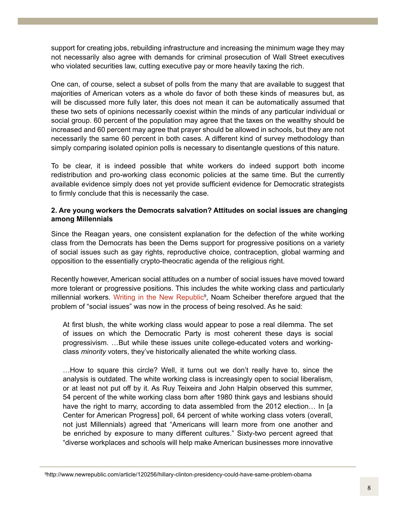support for creating jobs, rebuilding infrastructure and increasing the minimum wage they may not necessarily also agree with demands for criminal prosecution of Wall Street executives who violated securities law, cutting executive pay or more heavily taxing the rich.

One can, of course, select a subset of polls from the many that are available to suggest that majorities of American voters as a whole do favor of both these kinds of measures but, as will be discussed more fully later, this does not mean it can be automatically assumed that these two sets of opinions necessarily coexist within the minds of any particular individual or social group. 60 percent of the population may agree that the taxes on the wealthy should be increased and 60 percent may agree that prayer should be allowed in schools, but they are not necessarily the same 60 percent in both cases. A different kind of survey methodology than simply comparing isolated opinion polls is necessary to disentangle questions of this nature.

To be clear, it is indeed possible that white workers do indeed support both income redistribution and pro-working class economic policies at the same time. But the currently available evidence simply does not yet provide sufficient evidence for Democratic strategists to firmly conclude that this is necessarily the case.

## **2. Are young workers the Democrats salvation? Attitudes on social issues are changing among Millennials**

Since the Reagan years, one consistent explanation for the defection of the white working class from the Democrats has been the Dems support for progressive positions on a variety of social issues such as gay rights, reproductive choice, contraception, global warming and opposition to the essentially crypto-theocratic agenda of the religious right.

Recently however, American social attitudes on a number of social issues have moved toward more tolerant or progressive positions. This includes the white working class and particularly millennial workers. Writing in the New Republic<sup>9</sup>, Noam Scheiber therefore argued that the problem of "social issues" was now in the process of being resolved. As he said:

At first blush, the white working class would appear to pose a real dilemma. The set of issues on which the Democratic Party is most coherent these days is social progressivism. …But while these issues unite college-educated voters and workingclass *minority* voters, they've historically alienated the white working class.

…How to square this circle? Well, it turns out we don't really have to, since the analysis is outdated. The white working class is increasingly open to social liberalism, or at least not put off by it. As Ruy Teixeira and John Halpin observed this summer, 54 percent of the white working class born after 1980 think gays and lesbians should have the right to marry, according to data assembled from the 2012 election… In [a Center for American Progress] poll, 64 percent of white working class voters (overall, not just Millennials) agreed that "Americans will learn more from one another and be enriched by exposure to many different cultures." Sixty-two percent agreed that "diverse workplaces and schools will help make American businesses more innovative

<sup>9</sup> http://www.newrepublic.com/article/120256/hillary-clinton-presidency-could-have-same-problem-obama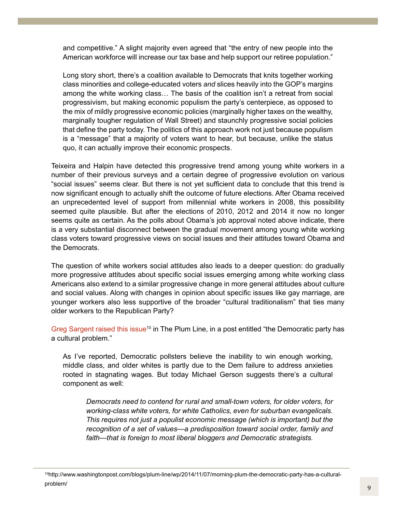and competitive." A slight majority even agreed that "the entry of new people into the American workforce will increase our tax base and help support our retiree population."

Long story short, there's a coalition available to Democrats that knits together working class minorities and college-educated voters *and* slices heavily into the GOP's margins among the white working class… The basis of the coalition isn't a retreat from social progressivism, but making economic populism the party's centerpiece, as opposed to the mix of mildly progressive economic policies (marginally higher taxes on the wealthy, marginally tougher regulation of Wall Street) and staunchly progressive social policies that define the party today. The politics of this approach work not just because populism is a "message" that a majority of voters want to hear, but because, unlike the status quo, it can actually improve their economic prospects.

Teixeira and Halpin have detected this progressive trend among young white workers in a number of their previous surveys and a certain degree of progressive evolution on various "social issues" seems clear. But there is not yet sufficient data to conclude that this trend is now significant enough to actually shift the outcome of future elections. After Obama received an unprecedented level of support from millennial white workers in 2008, this possibility seemed quite plausible. But after the elections of 2010, 2012 and 2014 it now no longer seems quite as certain. As the polls about Obama's job approval noted above indicate, there is a very substantial disconnect between the gradual movement among young white working class voters toward progressive views on social issues and their attitudes toward Obama and the Democrats.

The question of white workers social attitudes also leads to a deeper question: do gradually more progressive attitudes about specific social issues emerging among white working class Americans also extend to a similar progressive change in more general attitudes about culture and social values. Along with changes in opinion about specific issues like gay marriage, are younger workers also less supportive of the broader "cultural traditionalism" that ties many older workers to the Republican Party?

Greg Sargent raised this issue<sup>10</sup> in The Plum Line, in a post entitled "the Democratic party has a cultural problem."

As I've reported, Democratic pollsters believe the inability to win enough working, middle class, and older whites is partly due to the Dem failure to address anxieties rooted in stagnating wages. But today Michael Gerson suggests there's a cultural component as well:

*Democrats need to contend for rural and small-town voters, for older voters, for working-class white voters, for white Catholics, even for suburban evangelicals. This requires not just a populist economic message (which is important) but the recognition of a set of values*—*a predisposition toward social order, family and faith*—*that is foreign to most liberal bloggers and Democratic strategists.*

<sup>10</sup>http://www.washingtonpost.com/blogs/plum-line/wp/2014/11/07/morning-plum-the-democratic-party-has-a-culturalproblem/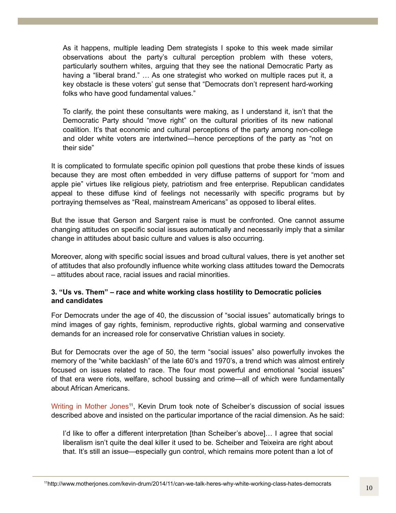As it happens, multiple leading Dem strategists I spoke to this week made similar observations about the party's cultural perception problem with these voters, particularly southern whites, arguing that they see the national Democratic Party as having a "liberal brand." ... As one strategist who worked on multiple races put it, a key obstacle is these voters' gut sense that "Democrats don't represent hard-working folks who have good fundamental values."

To clarify, the point these consultants were making, as I understand it, isn't that the Democratic Party should "move right" on the cultural priorities of its new national coalition. It's that economic and cultural perceptions of the party among non-college and older white voters are intertwined—hence perceptions of the party as "not on their side"

It is complicated to formulate specific opinion poll questions that probe these kinds of issues because they are most often embedded in very diffuse patterns of support for "mom and apple pie" virtues like religious piety, patriotism and free enterprise. Republican candidates appeal to these diffuse kind of feelings not necessarily with specific programs but by portraying themselves as "Real, mainstream Americans" as opposed to liberal elites.

But the issue that Gerson and Sargent raise is must be confronted. One cannot assume changing attitudes on specific social issues automatically and necessarily imply that a similar change in attitudes about basic culture and values is also occurring.

Moreover, along with specific social issues and broad cultural values, there is yet another set of attitudes that also profoundly influence white working class attitudes toward the Democrats – attitudes about race, racial issues and racial minorities.

## **3. "Us vs. Them" – race and white working class hostility to Democratic policies and candidates**

For Democrats under the age of 40, the discussion of "social issues" automatically brings to mind images of gay rights, feminism, reproductive rights, global warming and conservative demands for an increased role for conservative Christian values in society.

But for Democrats over the age of 50, the term "social issues" also powerfully invokes the memory of the "white backlash" of the late 60's and 1970's, a trend which was almost entirely focused on issues related to race. The four most powerful and emotional "social issues" of that era were riots, welfare, school bussing and crime—all of which were fundamentally about African Americans.

Writing in Mother Jones<sup>11</sup>, Kevin Drum took note of Scheiber's discussion of social issues described above and insisted on the particular importance of the racial dimension. As he said:

I'd like to offer a different interpretation [than Scheiber's above]… I agree that social liberalism isn't quite the deal killer it used to be. Scheiber and Teixeira are right about that. It's still an issue—especially gun control, which remains more potent than a lot of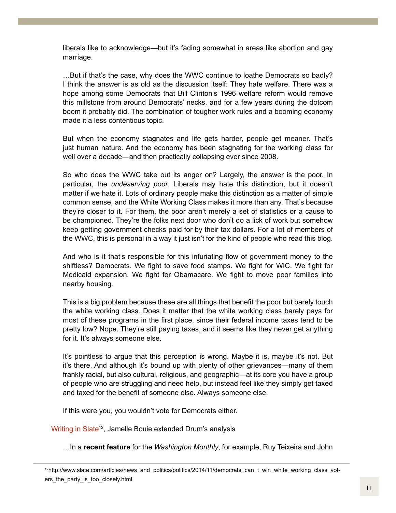liberals like to acknowledge—but it's fading somewhat in areas like abortion and gay marriage.

…But if that's the case, why does the WWC continue to loathe Democrats so badly? I think the answer is as old as the discussion itself: They hate welfare. There was a hope among some Democrats that Bill Clinton's 1996 welfare reform would remove this millstone from around Democrats' necks, and for a few years during the dotcom boom it probably did. The combination of tougher work rules and a booming economy made it a less contentious topic.

But when the economy stagnates and life gets harder, people get meaner. That's just human nature. And the economy has been stagnating for the working class for well over a decade—and then practically collapsing ever since 2008.

So who does the WWC take out its anger on? Largely, the answer is the poor. In particular, the *undeserving poor*. Liberals may hate this distinction, but it doesn't matter if we hate it. Lots of ordinary people make this distinction as a matter of simple common sense, and the White Working Class makes it more than any. That's because they're closer to it. For them, the poor aren't merely a set of statistics or a cause to be championed. They're the folks next door who don't do a lick of work but somehow keep getting government checks paid for by their tax dollars. For a lot of members of the WWC, this is personal in a way it just isn't for the kind of people who read this blog.

And who is it that's responsible for this infuriating flow of government money to the shiftless? Democrats. We fight to save food stamps. We fight for WIC. We fight for Medicaid expansion. We fight for Obamacare. We fight to move poor families into nearby housing.

This is a big problem because these are all things that benefit the poor but barely touch the white working class. Does it matter that the white working class barely pays for most of these programs in the first place, since their federal income taxes tend to be pretty low? Nope. They're still paying taxes, and it seems like they never get anything for it. It's always someone else.

It's pointless to argue that this perception is wrong. Maybe it is, maybe it's not. But it's there. And although it's bound up with plenty of other grievances—many of them frankly racial, but also cultural, religious, and geographic—at its core you have a group of people who are struggling and need help, but instead feel like they simply get taxed and taxed for the benefit of someone else. Always someone else.

If this were you, you wouldn't vote for Democrats either.

Writing in Slate<sup>12</sup>, Jamelle Bouie extended Drum's analysis

…In a **recent feature** for the *Washington Monthly*, for example, Ruy Teixeira and John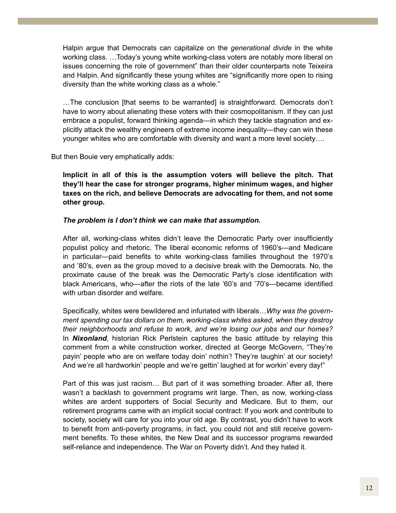Halpin argue that Democrats can capitalize on the *generational divide* in the white working class. …Today's young white working-class voters are notably more liberal on issues concerning the role of government" than their older counterparts note Teixeira and Halpin. And significantly these young whites are "significantly more open to rising diversity than the white working class as a whole."

…The conclusion [that seems to be warranted] is straightforward. Democrats don't have to worry about alienating these voters with their cosmopolitanism. If they can just embrace a populist, forward thinking agenda—in which they tackle stagnation and explicitly attack the wealthy engineers of extreme income inequality—they can win these younger whites who are comfortable with diversity and want a more level society….

But then Bouie very emphatically adds:

**Implicit in all of this is the assumption voters will believe the pitch. That they'll hear the case for stronger programs, higher minimum wages, and higher taxes on the rich, and believe Democrats are advocating for them, and not some other group.**

#### *The problem is I don't think we can make that assumption.*

After all, working-class whites didn't leave the Democratic Party over insufficiently populist policy and rhetoric. The liberal economic reforms of 1960's—and Medicare in particular—paid benefits to white working-class families throughout the 1970's and '80's, even as the group moved to a decisive break with the Democrats. No, the proximate cause of the break was the Democratic Party's close identification with black Americans, who—after the riots of the late '60's and '70's—became identified with urban disorder and welfare.

Specifically, whites were bewildered and infuriated with liberals…*Why was the government spending our tax dollars on them, working-class whites asked, when they destroy their neighborhoods and refuse to work, and we're losing our jobs and our homes?* In *Nixonland*, historian Rick Perlstein captures the basic attitude by relaying this comment from a white construction worker, directed at George McGovern, "They're payin' people who are on welfare today doin' nothin'! They're laughin' at our society! And we're all hardworkin' people and we're gettin' laughed at for workin' every day!"

Part of this was just racism… But part of it was something broader. After all, there wasn't a backlash to government programs writ large. Then, as now, working-class whites are ardent supporters of Social Security and Medicare. But to them, our retirement programs came with an implicit social contract: If you work and contribute to society, society will care for you into your old age. By contrast, you didn't have to work to benefit from anti-poverty programs, in fact, you could riot and still receive government benefits. To these whites, the New Deal and its successor programs rewarded self-reliance and independence. The War on Poverty didn't. And they hated it.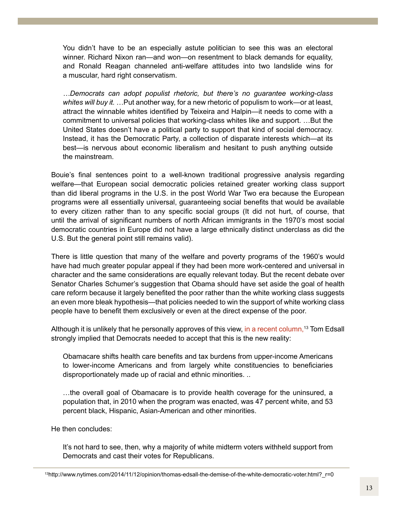You didn't have to be an especially astute politician to see this was an electoral winner. Richard Nixon ran—and won—on resentment to black demands for equality, and Ronald Reagan channeled anti-welfare attitudes into two landslide wins for a muscular, hard right conservatism.

*…Democrats can adopt populist rhetoric, but there's no guarantee working-class whites will buy it.* …Put another way, for a new rhetoric of populism to work—or at least, attract the winnable whites identified by Teixeira and Halpin—it needs to come with a commitment to universal policies that working-class whites like and support. …But the United States doesn't have a political party to support that kind of social democracy. Instead, it has the Democratic Party, a collection of disparate interests which—at its best—is nervous about economic liberalism and hesitant to push anything outside the mainstream.

Bouie's final sentences point to a well-known traditional progressive analysis regarding welfare—that European social democratic policies retained greater working class support than did liberal programs in the U.S. in the post World War Two era because the European programs were all essentially universal, guaranteeing social benefits that would be available to every citizen rather than to any specific social groups (It did not hurt, of course, that until the arrival of significant numbers of north African immigrants in the 1970's most social democratic countries in Europe did not have a large ethnically distinct underclass as did the U.S. But the general point still remains valid).

There is little question that many of the welfare and poverty programs of the 1960's would have had much greater popular appeal if they had been more work-centered and universal in character and the same considerations are equally relevant today. But the recent debate over Senator Charles Schumer's suggestion that Obama should have set aside the goal of health care reform because it largely benefited the poor rather than the white working class suggests an even more bleak hypothesis—that policies needed to win the support of white working class people have to benefit them exclusively or even at the direct expense of the poor.

Although it is unlikely that he personally approves of this view, in a recent column,<sup>13</sup> Tom Edsall strongly implied that Democrats needed to accept that this is the new reality:

Obamacare shifts health care benefits and tax burdens from upper-income Americans to lower-income Americans and from largely white constituencies to beneficiaries disproportionately made up of racial and ethnic minorities. ..

…the overall goal of Obamacare is to provide health coverage for the uninsured, a population that, in 2010 when the program was enacted, was 47 percent white, and 53 percent black, Hispanic, Asian-American and other minorities.

He then concludes:

It's not hard to see, then, why a majority of white midterm voters withheld support from Democrats and cast their votes for Republicans.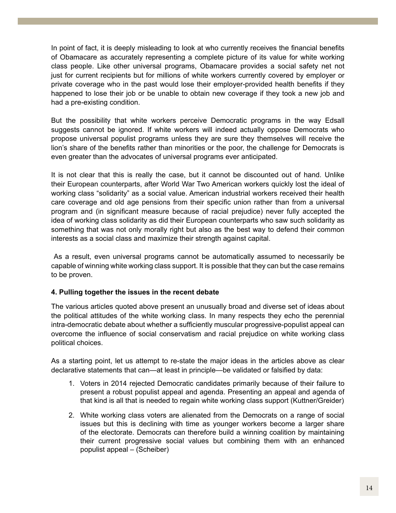In point of fact, it is deeply misleading to look at who currently receives the financial benefits of Obamacare as accurately representing a complete picture of its value for white working class people. Like other universal programs, Obamacare provides a social safety net not just for current recipients but for millions of white workers currently covered by employer or private coverage who in the past would lose their employer-provided health benefits if they happened to lose their job or be unable to obtain new coverage if they took a new job and had a pre-existing condition.

But the possibility that white workers perceive Democratic programs in the way Edsall suggests cannot be ignored. If white workers will indeed actually oppose Democrats who propose universal populist programs unless they are sure they themselves will receive the lion's share of the benefits rather than minorities or the poor, the challenge for Democrats is even greater than the advocates of universal programs ever anticipated.

It is not clear that this is really the case, but it cannot be discounted out of hand. Unlike their European counterparts, after World War Two American workers quickly lost the ideal of working class "solidarity" as a social value. American industrial workers received their health care coverage and old age pensions from their specific union rather than from a universal program and (in significant measure because of racial prejudice) never fully accepted the idea of working class solidarity as did their European counterparts who saw such solidarity as something that was not only morally right but also as the best way to defend their common interests as a social class and maximize their strength against capital.

 As a result, even universal programs cannot be automatically assumed to necessarily be capable of winning white working class support. It is possible that they can but the case remains to be proven.

## **4. Pulling together the issues in the recent debate**

The various articles quoted above present an unusually broad and diverse set of ideas about the political attitudes of the white working class. In many respects they echo the perennial intra-democratic debate about whether a sufficiently muscular progressive-populist appeal can overcome the influence of social conservatism and racial prejudice on white working class political choices.

As a starting point, let us attempt to re-state the major ideas in the articles above as clear declarative statements that can—at least in principle—be validated or falsified by data:

- 1. Voters in 2014 rejected Democratic candidates primarily because of their failure to present a robust populist appeal and agenda. Presenting an appeal and agenda of that kind is all that is needed to regain white working class support (Kuttner/Greider)
- 2. White working class voters are alienated from the Democrats on a range of social issues but this is declining with time as younger workers become a larger share of the electorate. Democrats can therefore build a winning coalition by maintaining their current progressive social values but combining them with an enhanced populist appeal – (Scheiber)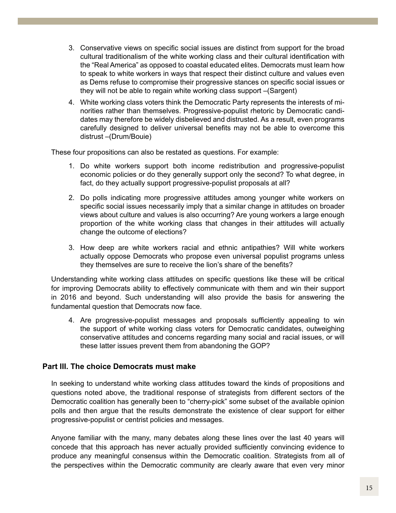- 3. Conservative views on specific social issues are distinct from support for the broad cultural traditionalism of the white working class and their cultural identification with the "Real America" as opposed to coastal educated elites. Democrats must learn how to speak to white workers in ways that respect their distinct culture and values even as Dems refuse to compromise their progressive stances on specific social issues or they will not be able to regain white working class support –(Sargent)
- 4. White working class voters think the Democratic Party represents the interests of minorities rather than themselves. Progressive-populist rhetoric by Democratic candidates may therefore be widely disbelieved and distrusted. As a result, even programs carefully designed to deliver universal benefits may not be able to overcome this distrust –(Drum/Bouie)

These four propositions can also be restated as questions. For example:

- 1. Do white workers support both income redistribution and progressive-populist economic policies or do they generally support only the second? To what degree, in fact, do they actually support progressive-populist proposals at all?
- 2. Do polls indicating more progressive attitudes among younger white workers on specific social issues necessarily imply that a similar change in attitudes on broader views about culture and values is also occurring? Are young workers a large enough proportion of the white working class that changes in their attitudes will actually change the outcome of elections?
- 3. How deep are white workers racial and ethnic antipathies? Will white workers actually oppose Democrats who propose even universal populist programs unless they themselves are sure to receive the lion's share of the benefits?

Understanding white working class attitudes on specific questions like these will be critical for improving Democrats ability to effectively communicate with them and win their support in 2016 and beyond. Such understanding will also provide the basis for answering the fundamental question that Democrats now face.

4. Are progressive-populist messages and proposals sufficiently appealing to win the support of white working class voters for Democratic candidates, outweighing conservative attitudes and concerns regarding many social and racial issues, or will these latter issues prevent them from abandoning the GOP?

## **Part III. The choice Democrats must make**

In seeking to understand white working class attitudes toward the kinds of propositions and questions noted above, the traditional response of strategists from different sectors of the Democratic coalition has generally been to "cherry-pick" some subset of the available opinion polls and then argue that the results demonstrate the existence of clear support for either progressive-populist or centrist policies and messages.

Anyone familiar with the many, many debates along these lines over the last 40 years will concede that this approach has never actually provided sufficiently convincing evidence to produce any meaningful consensus within the Democratic coalition. Strategists from all of the perspectives within the Democratic community are clearly aware that even very minor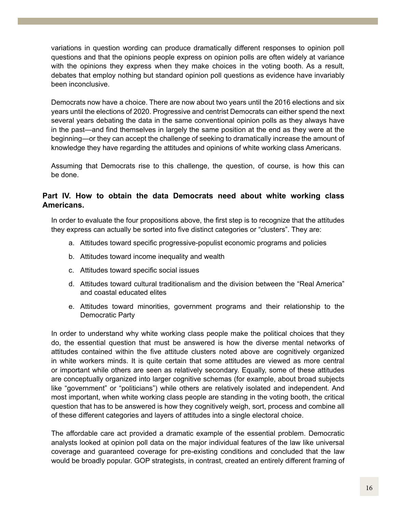variations in question wording can produce dramatically different responses to opinion poll questions and that the opinions people express on opinion polls are often widely at variance with the opinions they express when they make choices in the voting booth. As a result, debates that employ nothing but standard opinion poll questions as evidence have invariably been inconclusive.

Democrats now have a choice. There are now about two years until the 2016 elections and six years until the elections of 2020. Progressive and centrist Democrats can either spend the next several years debating the data in the same conventional opinion polls as they always have in the past—and find themselves in largely the same position at the end as they were at the beginning—or they can accept the challenge of seeking to dramatically increase the amount of knowledge they have regarding the attitudes and opinions of white working class Americans.

Assuming that Democrats rise to this challenge, the question, of course, is how this can be done.

## **Part IV. How to obtain the data Democrats need about white working class Americans.**

In order to evaluate the four propositions above, the first step is to recognize that the attitudes they express can actually be sorted into five distinct categories or "clusters". They are:

- a. Attitudes toward specific progressive-populist economic programs and policies
- b. Attitudes toward income inequality and wealth
- c. Attitudes toward specific social issues
- d. Attitudes toward cultural traditionalism and the division between the "Real America" and coastal educated elites
- e. Attitudes toward minorities, government programs and their relationship to the Democratic Party

In order to understand why white working class people make the political choices that they do, the essential question that must be answered is how the diverse mental networks of attitudes contained within the five attitude clusters noted above are cognitively organized in white workers minds. It is quite certain that some attitudes are viewed as more central or important while others are seen as relatively secondary. Equally, some of these attitudes are conceptually organized into larger cognitive schemas (for example, about broad subjects like "government" or "politicians") while others are relatively isolated and independent. And most important, when white working class people are standing in the voting booth, the critical question that has to be answered is how they cognitively weigh, sort, process and combine all of these different categories and layers of attitudes into a single electoral choice.

The affordable care act provided a dramatic example of the essential problem. Democratic analysts looked at opinion poll data on the major individual features of the law like universal coverage and guaranteed coverage for pre-existing conditions and concluded that the law would be broadly popular. GOP strategists, in contrast, created an entirely different framing of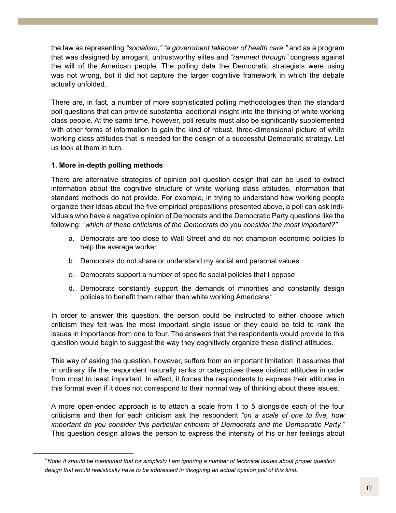the law as representing *"socialism," "a government takeover of health care,"* and as a program that was designed by arrogant, untrustworthy elites and *"rammed through"* congress against the will of the American people. The polling data the Democratic strategists were using was not wrong, but it did not capture the larger cognitive framework in which the debate actually unfolded.

There are, in fact, a number of more sophisticated polling methodologies than the standard poll questions that can provide substantial additional insight into the thinking of white working class people. At the same time, however, poll results must also be significantly supplemented with other forms of information to gain the kind of robust, three-dimensional picture of white working class attitudes that is needed for the design of a successful Democratic strategy. Let us look at them in turn.

## **1. More in-depth polling methods**

There are alternative strategies of opinion poll question design that can be used to extract information about the cognitive structure of white working class attitudes, information that standard methods do not provide. For example, in trying to understand how working people organize their ideas about the five empirical propositions presented above, a poll can ask individuals who have a negative opinion of Democrats and the Democratic Party questions like the following: *"which of these criticisms of the Democrats do you consider the most important?"*

- a. Democrats are too close to Wall Street and do not champion economic policies to help the average worker
- b. Democrats do not share or understand my social and personal values
- c. Democrats support a number of specific social policies that I oppose
- d. Democrats constantly support the demands of minorities and constantly design policies to benefit them rather than white working Americans\*

In order to answer this question, the person could be instructed to either choose which criticism they felt was the most important single issue or they could be told to rank the issues in importance from one to four. The answers that the respondents would provide to this question would begin to suggest the way they cognitively organize these distinct attitudes.

This way of asking the question, however, suffers from an important limitation: it assumes that in ordinary life the respondent naturally ranks or categorizes these distinct attitudes in order from most to least important. In effect, it forces the respondents to express their attitudes in this format even if it does not correspond to their normal way of thinking about these issues.

A more open-ended approach is to attach a scale from 1 to 5 alongside each of the four criticisms and then for each criticism ask the respondent *"on a scale of one to five, how important do you consider this particular criticism of Democrats and the Democratic Party."* This question design allows the person to express the intensity of his or her feelings about

<sup>\*</sup>*Note: It should be mentioned that for simplicity I am ignoring a number of technical issues about proper question*  design that would realistically have to be addressed in designing an actual opinion poll of this kind.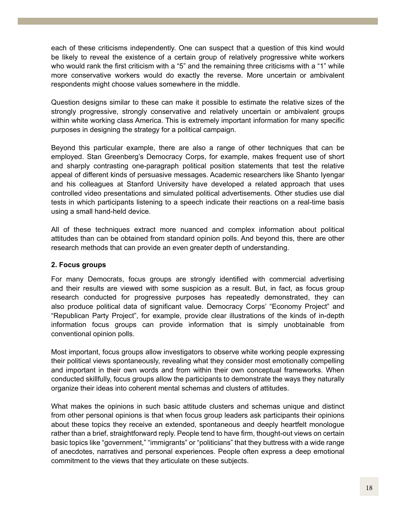each of these criticisms independently. One can suspect that a question of this kind would be likely to reveal the existence of a certain group of relatively progressive white workers who would rank the first criticism with a "5" and the remaining three criticisms with a "1" while more conservative workers would do exactly the reverse. More uncertain or ambivalent respondents might choose values somewhere in the middle.

Question designs similar to these can make it possible to estimate the relative sizes of the strongly progressive, strongly conservative and relatively uncertain or ambivalent groups within white working class America. This is extremely important information for many specific purposes in designing the strategy for a political campaign.

Beyond this particular example, there are also a range of other techniques that can be employed. Stan Greenberg's Democracy Corps, for example, makes frequent use of short and sharply contrasting one-paragraph political position statements that test the relative appeal of different kinds of persuasive messages. Academic researchers like Shanto Iyengar and his colleagues at Stanford University have developed a related approach that uses controlled video presentations and simulated political advertisements. Other studies use dial tests in which participants listening to a speech indicate their reactions on a real-time basis using a small hand-held device.

All of these techniques extract more nuanced and complex information about political attitudes than can be obtained from standard opinion polls. And beyond this, there are other research methods that can provide an even greater depth of understanding.

## **2. Focus groups**

For many Democrats, focus groups are strongly identified with commercial advertising and their results are viewed with some suspicion as a result. But, in fact, as focus group research conducted for progressive purposes has repeatedly demonstrated, they can also produce political data of significant value. Democracy Corps' "Economy Project" and "Republican Party Project", for example, provide clear illustrations of the kinds of in-depth information focus groups can provide information that is simply unobtainable from conventional opinion polls.

Most important, focus groups allow investigators to observe white working people expressing their political views spontaneously, revealing what they consider most emotionally compelling and important in their own words and from within their own conceptual frameworks. When conducted skillfully, focus groups allow the participants to demonstrate the ways they naturally organize their ideas into coherent mental schemas and clusters of attitudes.

What makes the opinions in such basic attitude clusters and schemas unique and distinct from other personal opinions is that when focus group leaders ask participants their opinions about these topics they receive an extended, spontaneous and deeply heartfelt monologue rather than a brief, straightforward reply. People tend to have firm, thought-out views on certain basic topics like "government," "immigrants" or "politicians" that they buttress with a wide range of anecdotes, narratives and personal experiences. People often express a deep emotional commitment to the views that they articulate on these subjects.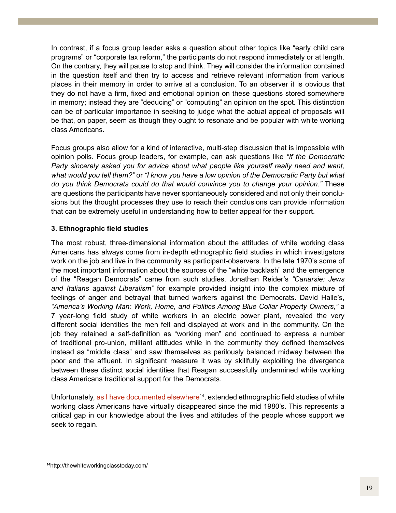In contrast, if a focus group leader asks a question about other topics like "early child care programs" or "corporate tax reform," the participants do not respond immediately or at length. On the contrary, they will pause to stop and think. They will consider the information contained in the question itself and then try to access and retrieve relevant information from various places in their memory in order to arrive at a conclusion. To an observer it is obvious that they do not have a firm, fixed and emotional opinion on these questions stored somewhere in memory; instead they are "deducing" or "computing" an opinion on the spot. This distinction can be of particular importance in seeking to judge what the actual appeal of proposals will be that, on paper, seem as though they ought to resonate and be popular with white working class Americans.

Focus groups also allow for a kind of interactive, multi-step discussion that is impossible with opinion polls. Focus group leaders, for example, can ask questions like *"If the Democratic Party sincerely asked you for advice about what people like yourself really need and want, what would you tell them?"* or *"I know you have a low opinion of the Democratic Party but what do you think Democrats could do that would convince you to change your opinion."* These are questions the participants have never spontaneously considered and not only their conclusions but the thought processes they use to reach their conclusions can provide information that can be extremely useful in understanding how to better appeal for their support.

## **3. Ethnographic field studies**

The most robust, three-dimensional information about the attitudes of white working class Americans has always come from in-depth ethnographic field studies in which investigators work on the job and live in the community as participant-observers. In the late 1970's some of the most important information about the sources of the "white backlash" and the emergence of the "Reagan Democrats" came from such studies. Jonathan Reider's *"Canarsie: Jews and Italians against Liberalism"* for example provided insight into the complex mixture of feelings of anger and betrayal that turned workers against the Democrats. David Halle's, *"America's Working Man: Work, Home, and Politics Among Blue Collar Property Owners,"* a 7 year-long field study of white workers in an electric power plant, revealed the very different social identities the men felt and displayed at work and in the community. On the job they retained a self-definition as "working men" and continued to express a number of traditional pro-union, militant attitudes while in the community they defined themselves instead as "middle class" and saw themselves as perilously balanced midway between the poor and the affluent. In significant measure it was by skillfully exploiting the divergence between these distinct social identities that Reagan successfully undermined white working class Americans traditional support for the Democrats.

Unfortunately, as I have documented elsewhere<sup>14</sup>, extended ethnographic field studies of white working class Americans have virtually disappeared since the mid 1980's. This represents a critical gap in our knowledge about the lives and attitudes of the people whose support we seek to regain.